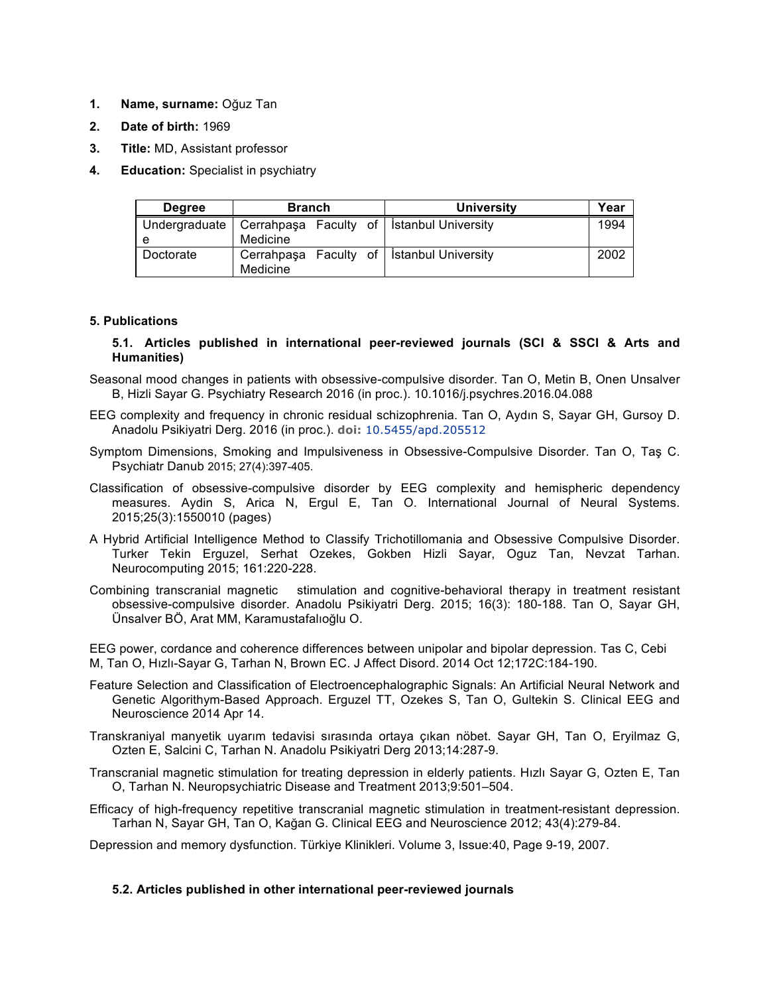- **1. Name, surname:** Oğuz Tan
- **2. Date of birth:** 1969
- **3. Title:** MD, Assistant professor
- **4. Education:** Specialist in psychiatry

| <b>Degree</b> | <b>Branch</b> |  |  | <b>University</b>                                           | Year |
|---------------|---------------|--|--|-------------------------------------------------------------|------|
| e             | Medicine      |  |  | Undergraduate   Cerrahpaşa Faculty of   İstanbul University | 1994 |
| Doctorate     | Medicine      |  |  | Cerrahpaşa Faculty of   İstanbul University                 | 2002 |

## **5. Publications**

## **5.1. Articles published in international peer-reviewed journals (SCI & SSCI & Arts and Humanities)**

- Seasonal mood changes in patients with obsessive-compulsive disorder. Tan O, Metin B, Onen Unsalver B, Hizli Sayar G. Psychiatry Research 2016 (in proc.). 10.1016/j.psychres.2016.04.088
- EEG complexity and frequency in chronic residual schizophrenia. Tan O, Aydın S, Sayar GH, Gursoy D. Anadolu Psikiyatri Derg. 2016 (in proc.). **doi:** 10.5455/apd.205512
- Symptom Dimensions, Smoking and Impulsiveness in Obsessive-Compulsive Disorder. Tan O, Taş C. Psychiatr Danub 2015; 27(4):397-405.
- Classification of obsessive-compulsive disorder by EEG complexity and hemispheric dependency measures. Aydin S, Arica N, Ergul E, Tan O. International Journal of Neural Systems. 2015;25(3):1550010 (pages)
- A Hybrid Artificial Intelligence Method to Classify Trichotillomania and Obsessive Compulsive Disorder. Turker Tekin Erguzel, Serhat Ozekes, Gokben Hizli Sayar, Oguz Tan, Nevzat Tarhan. Neurocomputing 2015; 161:220-228.
- Combining transcranial magnetic stimulation and cognitive-behavioral therapy in treatment resistant obsessive-compulsive disorder. Anadolu Psikiyatri Derg. 2015; 16(3): 180-188. Tan O, Sayar GH, Ünsalver BÖ, Arat MM, Karamustafalıoğlu O.

EEG power, cordance and coherence differences between unipolar and bipolar depression. Tas C, Cebi M, Tan O, Hızlı-Sayar G, Tarhan N, Brown EC. J Affect Disord. 2014 Oct 12;172C:184-190.

- Feature Selection and Classification of Electroencephalographic Signals: An Artificial Neural Network and Genetic Algorithym-Based Approach. Erguzel TT, Ozekes S, Tan O, Gultekin S. Clinical EEG and Neuroscience 2014 Apr 14.
- Transkraniyal manyetik uyarım tedavisi sırasında ortaya çıkan nöbet. Sayar GH, Tan O, Eryilmaz G, Ozten E, Salcini C, Tarhan N. Anadolu Psikiyatri Derg 2013;14:287-9.
- Transcranial magnetic stimulation for treating depression in elderly patients. Hızlı Sayar G, Ozten E, Tan O, Tarhan N. Neuropsychiatric Disease and Treatment 2013;9:501–504.
- Efficacy of high-frequency repetitive transcranial magnetic stimulation in treatment-resistant depression. Tarhan N, Sayar GH, Tan O, Kağan G. Clinical EEG and Neuroscience 2012; 43(4):279-84.

Depression and memory dysfunction. Türkiye Klinikleri. Volume 3, Issue:40, Page 9-19, 2007.

## **5.2. Articles published in other international peer-reviewed journals**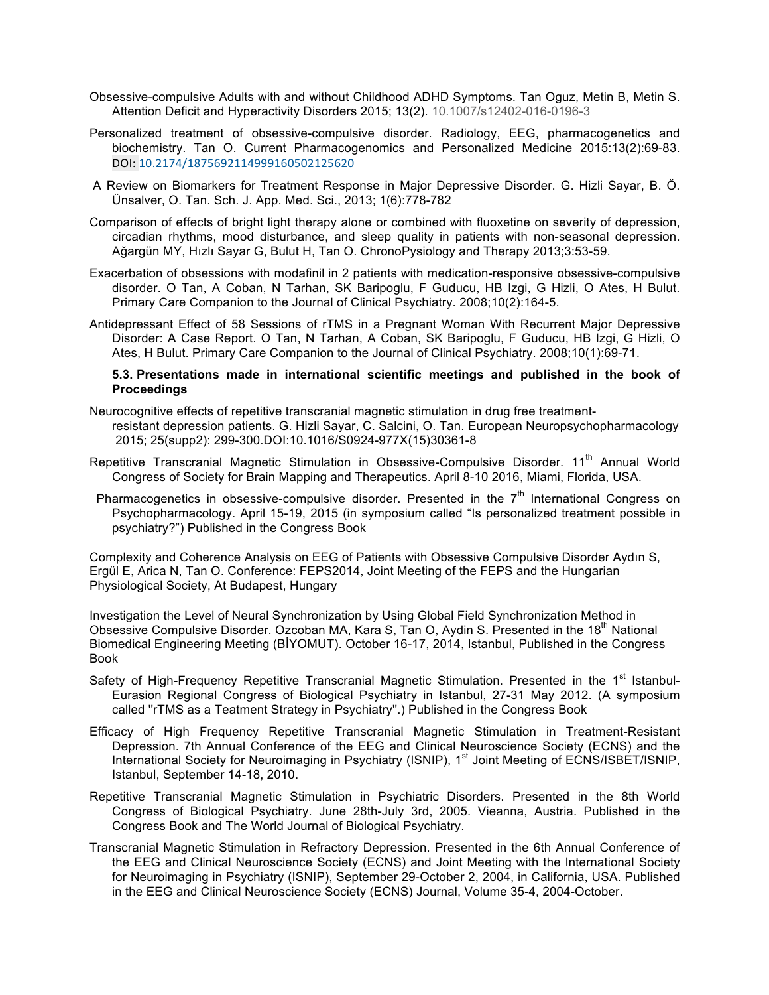- Obsessive-compulsive Adults with and without Childhood ADHD Symptoms. Tan Oguz, Metin B, Metin S. Attention Deficit and Hyperactivity Disorders 2015; 13(2). 10.1007/s12402-016-0196-3
- Personalized treatment of obsessive-compulsive disorder. Radiology, EEG, pharmacogenetics and biochemistry. Tan O. Current Pharmacogenomics and Personalized Medicine 2015:13(2):69-83. DOI: 10.2174/1875692114999160502125620
- A Review on Biomarkers for Treatment Response in Major Depressive Disorder. G. Hizli Sayar, B. Ö. Ünsalver, O. Tan. Sch. J. App. Med. Sci., 2013; 1(6):778-782
- Comparison of effects of bright light therapy alone or combined with fluoxetine on severity of depression, circadian rhythms, mood disturbance, and sleep quality in patients with non-seasonal depression. Ağargün MY, Hızlı Sayar G, Bulut H, Tan O. ChronoPysiology and Therapy 2013;3:53-59.
- Exacerbation of obsessions with modafinil in 2 patients with medication-responsive obsessive-compulsive disorder. O Tan, A Coban, N Tarhan, SK Baripoglu, F Guducu, HB Izgi, G Hizli, O Ates, H Bulut. Primary Care Companion to the Journal of Clinical Psychiatry. 2008;10(2):164-5.
- Antidepressant Effect of 58 Sessions of rTMS in a Pregnant Woman With Recurrent Major Depressive Disorder: A Case Report. O Tan, N Tarhan, A Coban, SK Baripoglu, F Guducu, HB Izgi, G Hizli, O Ates, H Bulut. Primary Care Companion to the Journal of Clinical Psychiatry. 2008;10(1):69-71.

#### **5.3. Presentations made in international scientific meetings and published in the book of Proceedings**

- Neurocognitive effects of repetitive transcranial magnetic stimulation in drug free treatmentresistant depression patients. G. Hizli Sayar, C. Salcini, O. Tan. European Neuropsychopharmacology 2015; 25(supp2): 299-300.DOI:10.1016/S0924-977X(15)30361-8
- Repetitive Transcranial Magnetic Stimulation in Obsessive-Compulsive Disorder. 11<sup>th</sup> Annual World Congress of Society for Brain Mapping and Therapeutics. April 8-10 2016, Miami, Florida, USA.
- Pharmacogenetics in obsessive-compulsive disorder. Presented in the  $7<sup>th</sup>$  International Congress on Psychopharmacology. April 15-19, 2015 (in symposium called "Is personalized treatment possible in psychiatry?") Published in the Congress Book

Complexity and Coherence Analysis on EEG of Patients with Obsessive Compulsive Disorder Aydın S, Ergül E, Arica N, Tan O. Conference: FEPS2014, Joint Meeting of the FEPS and the Hungarian Physiological Society, At Budapest, Hungary

Investigation the Level of Neural Synchronization by Using Global Field Synchronization Method in Obsessive Compulsive Disorder. Ozcoban MA, Kara S, Tan O, Aydin S. Presented in the 18<sup>th</sup> National Biomedical Engineering Meeting (BİYOMUT). October 16-17, 2014, Istanbul, Published in the Congress Book

- Safety of High-Frequency Repetitive Transcranial Magnetic Stimulation. Presented in the 1<sup>st</sup> Istanbul-Eurasion Regional Congress of Biological Psychiatry in Istanbul, 27-31 May 2012. (A symposium called ''rTMS as a Teatment Strategy in Psychiatry''.) Published in the Congress Book
- Efficacy of High Frequency Repetitive Transcranial Magnetic Stimulation in Treatment-Resistant Depression. 7th Annual Conference of the EEG and Clinical Neuroscience Society (ECNS) and the International Society for Neuroimaging in Psychiatry (ISNIP), 1<sup>st</sup> Joint Meeting of ECNS/ISBET/ISNIP, Istanbul, September 14-18, 2010.
- Repetitive Transcranial Magnetic Stimulation in Psychiatric Disorders. Presented in the 8th World Congress of Biological Psychiatry. June 28th-July 3rd, 2005. Vieanna, Austria. Published in the Congress Book and The World Journal of Biological Psychiatry.
- Transcranial Magnetic Stimulation in Refractory Depression. Presented in the 6th Annual Conference of the EEG and Clinical Neuroscience Society (ECNS) and Joint Meeting with the International Society for Neuroimaging in Psychiatry (ISNIP), September 29-October 2, 2004, in California, USA. Published in the EEG and Clinical Neuroscience Society (ECNS) Journal, Volume 35-4, 2004-October.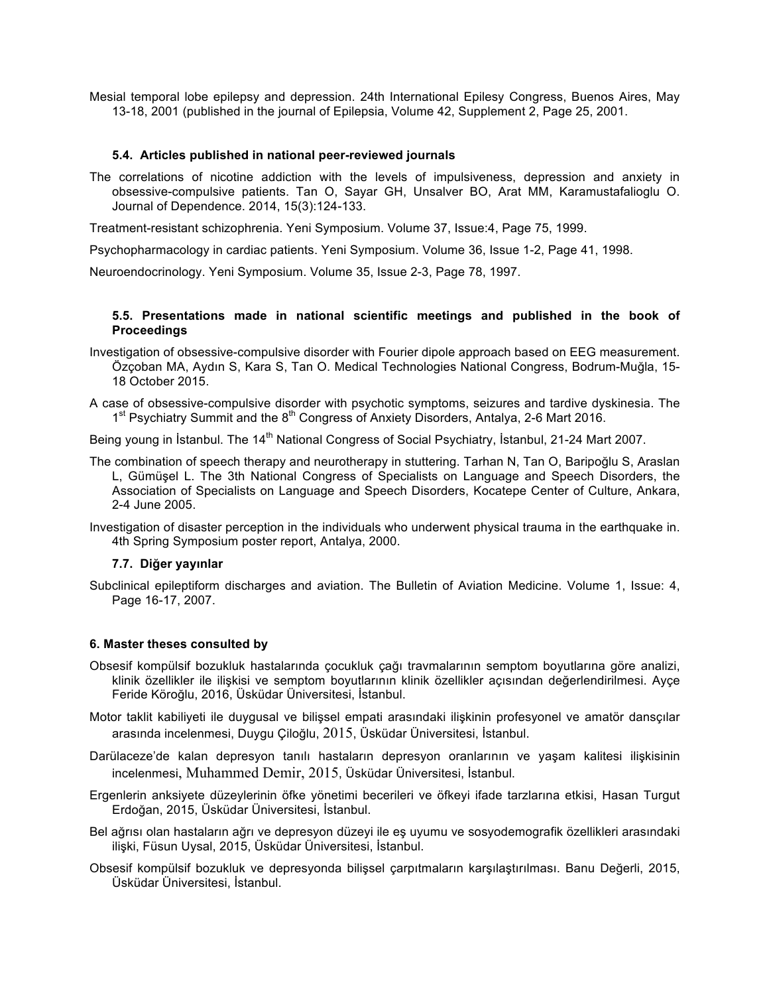Mesial temporal lobe epilepsy and depression. 24th International Epilesy Congress, Buenos Aires, May 13-18, 2001 (published in the journal of Epilepsia, Volume 42, Supplement 2, Page 25, 2001.

#### **5.4. Articles published in national peer-reviewed journals**

The correlations of nicotine addiction with the levels of impulsiveness, depression and anxiety in obsessive-compulsive patients. Tan O, Sayar GH, Unsalver BO, Arat MM, Karamustafalioglu O. Journal of Dependence. 2014, 15(3):124-133.

Treatment-resistant schizophrenia. Yeni Symposium. Volume 37, Issue:4, Page 75, 1999.

Psychopharmacology in cardiac patients. Yeni Symposium. Volume 36, Issue 1-2, Page 41, 1998.

Neuroendocrinology. Yeni Symposium. Volume 35, Issue 2-3, Page 78, 1997.

## **5.5. Presentations made in national scientific meetings and published in the book of Proceedings**

- Investigation of obsessive-compulsive disorder with Fourier dipole approach based on EEG measurement. Özçoban MA, Aydın S, Kara S, Tan O. Medical Technologies National Congress, Bodrum-Muğla, 15- 18 October 2015.
- A case of obsessive-compulsive disorder with psychotic symptoms, seizures and tardive dyskinesia. The  $1<sup>st</sup>$  Psychiatry Summit and the  $8<sup>th</sup>$  Congress of Anxiety Disorders, Antalya, 2-6 Mart 2016.

Being young in İstanbul. The 14<sup>th</sup> National Congress of Social Psychiatry, İstanbul, 21-24 Mart 2007.

- The combination of speech therapy and neurotherapy in stuttering. Tarhan N, Tan O, Baripoğlu S, Araslan L, Gümüşel L. The 3th National Congress of Specialists on Language and Speech Disorders, the Association of Specialists on Language and Speech Disorders, Kocatepe Center of Culture, Ankara, 2-4 June 2005.
- Investigation of disaster perception in the individuals who underwent physical trauma in the earthquake in. 4th Spring Symposium poster report, Antalya, 2000.

## **7.7. Diğer yayınlar**

Subclinical epileptiform discharges and aviation. The Bulletin of Aviation Medicine. Volume 1, Issue: 4, Page 16-17, 2007.

#### **6. Master theses consulted by**

- Obsesif kompülsif bozukluk hastalarında çocukluk çağı travmalarının semptom boyutlarına göre analizi, klinik özellikler ile ilişkisi ve semptom boyutlarının klinik özellikler açısından değerlendirilmesi. Ayçe Feride Köroğlu, 2016, Üsküdar Üniversitesi, İstanbul.
- Motor taklit kabiliyeti ile duygusal ve bilişsel empati arasındaki ilişkinin profesyonel ve amatör dansçılar arasında incelenmesi, Duygu Çiloğlu, 2015, Üsküdar Üniversitesi, İstanbul.
- Darülaceze'de kalan depresyon tanılı hastaların depresyon oranlarının ve yaşam kalitesi ilişkisinin incelenmesi, Muhammed Demir, 2015, Üsküdar Üniversitesi, İstanbul.
- Ergenlerin anksiyete düzeylerinin öfke yönetimi becerileri ve öfkeyi ifade tarzlarına etkisi, Hasan Turgut Erdoğan, 2015, Üsküdar Üniversitesi, İstanbul.
- Bel ağrısı olan hastaların ağrı ve depresyon düzeyi ile eş uyumu ve sosyodemografik özellikleri arasındaki ilişki, Füsun Uysal, 2015, Üsküdar Üniversitesi, İstanbul.
- Obsesif kompülsif bozukluk ve depresyonda bilişsel çarpıtmaların karşılaştırılması. Banu Değerli, 2015, Üsküdar Üniversitesi, İstanbul.